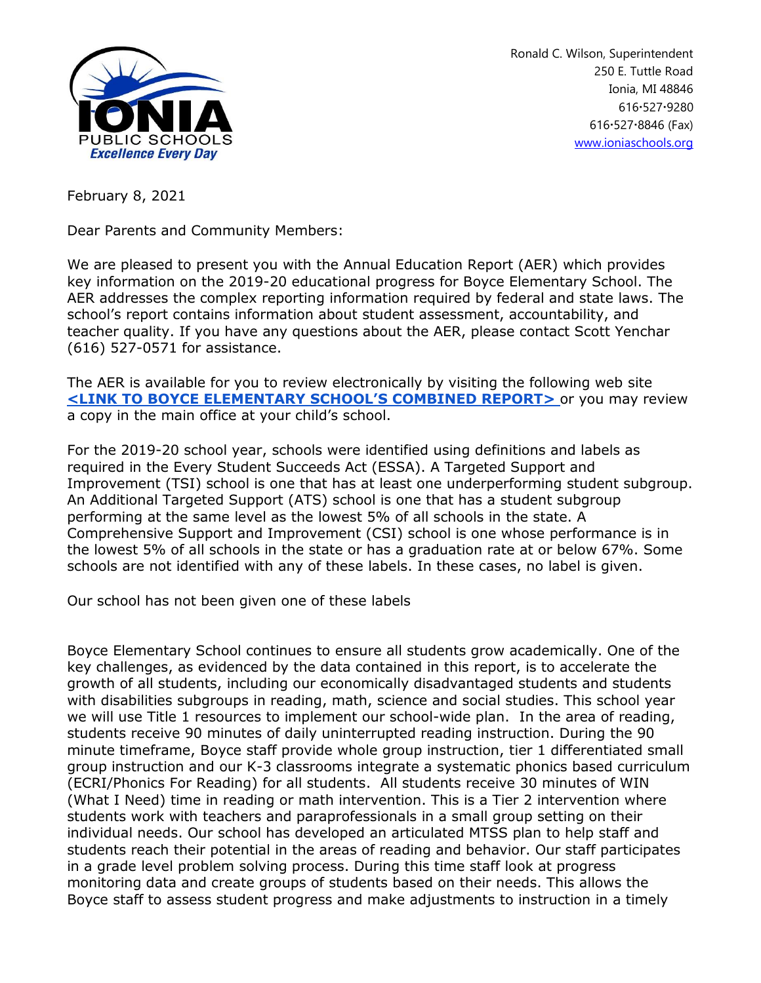

Ronald C. Wilson, Superintendent 250 E. Tuttle Road Ionia, MI 48846 616 527 9280 6165278846 (Fax) [www.ioniaschools.org](http://www.ioniaschools.org/)

February 8, 2021

Dear Parents and Community Members:

We are pleased to present you with the Annual Education Report (AER) which provides key information on the 2019-20 educational progress for Boyce Elementary School. The AER addresses the complex reporting information required by federal and state laws. The school's report contains information about student assessment, accountability, and teacher quality. If you have any questions about the AER, please contact Scott Yenchar (616) 527-0571 for assistance.

The AER is available for you to review electronically by visiting the following web site **[<LINK TO BOYCE ELEMENTARY SCHOOL'S COMBINED REPORT>](https://bit.ly/3oVPoSi)** or you may review a copy in the main office at your child's school.

For the 2019-20 school year, schools were identified using definitions and labels as required in the Every Student Succeeds Act (ESSA). A Targeted Support and Improvement (TSI) school is one that has at least one underperforming student subgroup. An Additional Targeted Support (ATS) school is one that has a student subgroup performing at the same level as the lowest 5% of all schools in the state. A Comprehensive Support and Improvement (CSI) school is one whose performance is in the lowest 5% of all schools in the state or has a graduation rate at or below 67%. Some schools are not identified with any of these labels. In these cases, no label is given.

Our school has not been given one of these labels

Boyce Elementary School continues to ensure all students grow academically. One of the key challenges, as evidenced by the data contained in this report, is to accelerate the growth of all students, including our economically disadvantaged students and students with disabilities subgroups in reading, math, science and social studies. This school year we will use Title 1 resources to implement our school-wide plan. In the area of reading, students receive 90 minutes of daily uninterrupted reading instruction. During the 90 minute timeframe, Boyce staff provide whole group instruction, tier 1 differentiated small group instruction and our K-3 classrooms integrate a systematic phonics based curriculum (ECRI/Phonics For Reading) for all students. All students receive 30 minutes of WIN (What I Need) time in reading or math intervention. This is a Tier 2 intervention where students work with teachers and paraprofessionals in a small group setting on their individual needs. Our school has developed an articulated MTSS plan to help staff and students reach their potential in the areas of reading and behavior. Our staff participates in a grade level problem solving process. During this time staff look at progress monitoring data and create groups of students based on their needs. This allows the Boyce staff to assess student progress and make adjustments to instruction in a timely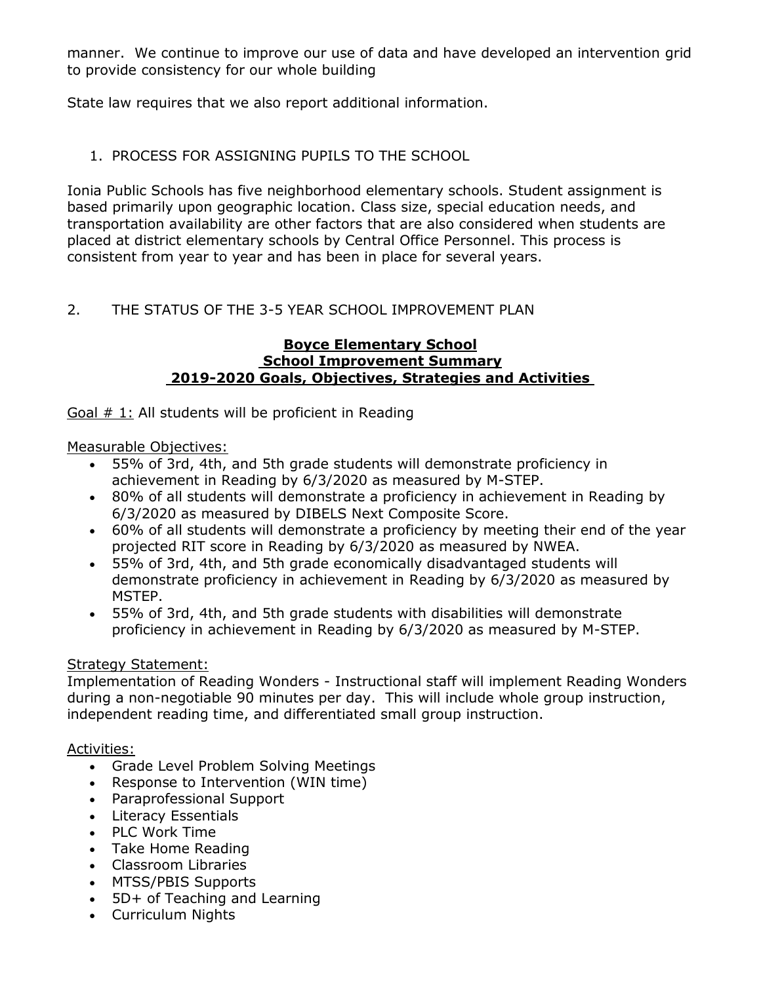manner. We continue to improve our use of data and have developed an intervention grid to provide consistency for our whole building

State law requires that we also report additional information.

# 1. PROCESS FOR ASSIGNING PUPILS TO THE SCHOOL

Ionia Public Schools has five neighborhood elementary schools. Student assignment is based primarily upon geographic location. Class size, special education needs, and transportation availability are other factors that are also considered when students are placed at district elementary schools by Central Office Personnel. This process is consistent from year to year and has been in place for several years.

# 2. THE STATUS OF THE 3-5 YEAR SCHOOL IMPROVEMENT PLAN

#### **Boyce Elementary School School Improvement Summary 2019-2020 Goals, Objectives, Strategies and Activities**

Goal  $\#$  1: All students will be proficient in Reading

Measurable Objectives:

- 55% of 3rd, 4th, and 5th grade students will demonstrate proficiency in achievement in Reading by 6/3/2020 as measured by M-STEP.
- 80% of all students will demonstrate a proficiency in achievement in Reading by 6/3/2020 as measured by DIBELS Next Composite Score.
- 60% of all students will demonstrate a proficiency by meeting their end of the year projected RIT score in Reading by 6/3/2020 as measured by NWEA.
- 55% of 3rd, 4th, and 5th grade economically disadvantaged students will demonstrate proficiency in achievement in Reading by 6/3/2020 as measured by MSTEP.
- 55% of 3rd, 4th, and 5th grade students with disabilities will demonstrate proficiency in achievement in Reading by 6/3/2020 as measured by M-STEP.

# Strategy Statement:

Implementation of Reading Wonders - Instructional staff will implement Reading Wonders during a non-negotiable 90 minutes per day. This will include whole group instruction, independent reading time, and differentiated small group instruction.

#### Activities:

- Grade Level Problem Solving Meetings
- Response to Intervention (WIN time)
- Paraprofessional Support
- Literacy Essentials
- PLC Work Time
- Take Home Reading
- Classroom Libraries
- MTSS/PBIS Supports
- 5D+ of Teaching and Learning
- Curriculum Nights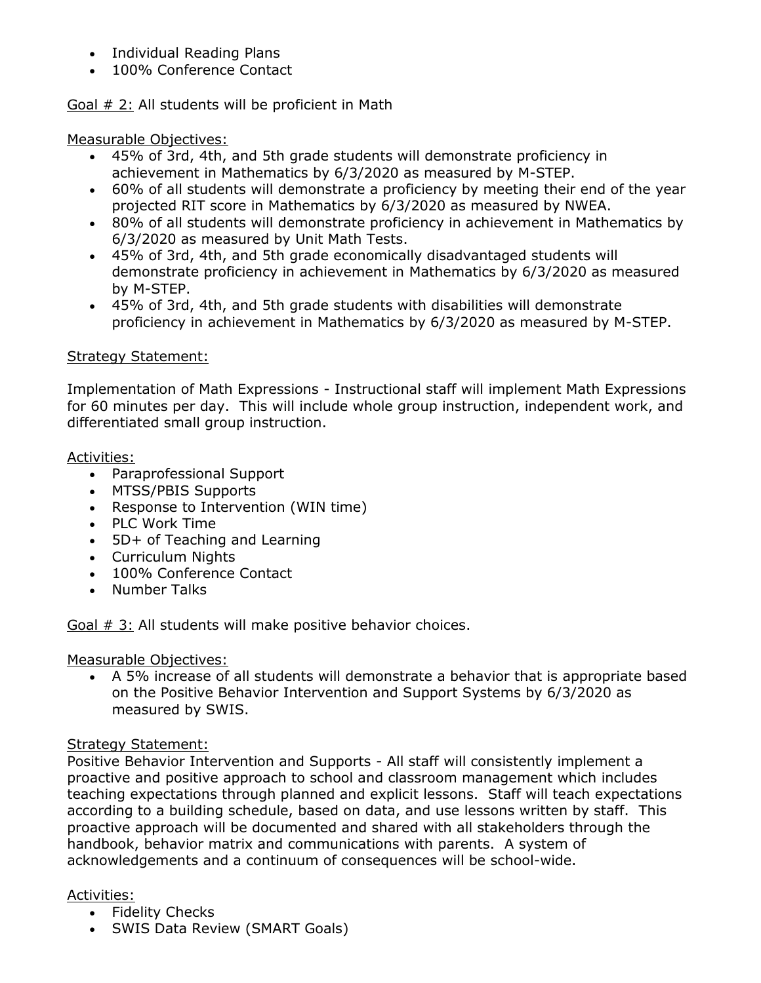- Individual Reading Plans
- 100% Conference Contact

Goal # 2: All students will be proficient in Math

Measurable Objectives:

- 45% of 3rd, 4th, and 5th grade students will demonstrate proficiency in achievement in Mathematics by 6/3/2020 as measured by M-STEP.
- 60% of all students will demonstrate a proficiency by meeting their end of the year projected RIT score in Mathematics by 6/3/2020 as measured by NWEA.
- 80% of all students will demonstrate proficiency in achievement in Mathematics by 6/3/2020 as measured by Unit Math Tests.
- 45% of 3rd, 4th, and 5th grade economically disadvantaged students will demonstrate proficiency in achievement in Mathematics by 6/3/2020 as measured by M-STEP.
- 45% of 3rd, 4th, and 5th grade students with disabilities will demonstrate proficiency in achievement in Mathematics by 6/3/2020 as measured by M-STEP.

# Strategy Statement:

Implementation of Math Expressions - Instructional staff will implement Math Expressions for 60 minutes per day. This will include whole group instruction, independent work, and differentiated small group instruction.

### Activities:

- Paraprofessional Support
- MTSS/PBIS Supports
- Response to Intervention (WIN time)
- PLC Work Time
- 5D+ of Teaching and Learning
- Curriculum Nights
- 100% Conference Contact
- Number Talks

Goal # 3: All students will make positive behavior choices.

# Measurable Objectives:

 A 5% increase of all students will demonstrate a behavior that is appropriate based on the Positive Behavior Intervention and Support Systems by 6/3/2020 as measured by SWIS.

# Strategy Statement:

Positive Behavior Intervention and Supports - All staff will consistently implement a proactive and positive approach to school and classroom management which includes teaching expectations through planned and explicit lessons. Staff will teach expectations according to a building schedule, based on data, and use lessons written by staff. This proactive approach will be documented and shared with all stakeholders through the handbook, behavior matrix and communications with parents. A system of acknowledgements and a continuum of consequences will be school-wide.

# Activities:

- Fidelity Checks
- SWIS Data Review (SMART Goals)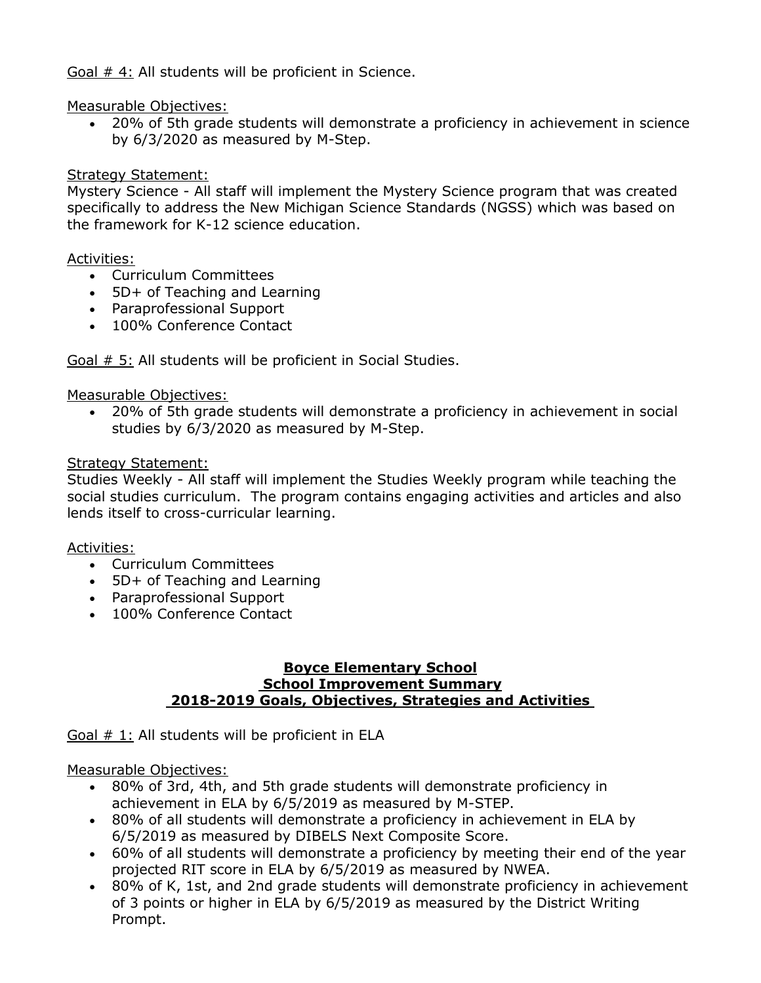Goal # 4: All students will be proficient in Science.

## Measurable Objectives:

 20% of 5th grade students will demonstrate a proficiency in achievement in science by 6/3/2020 as measured by M-Step.

## Strategy Statement:

Mystery Science - All staff will implement the Mystery Science program that was created specifically to address the New Michigan Science Standards (NGSS) which was based on the framework for K-12 science education.

### Activities:

- Curriculum Committees
- 5D+ of Teaching and Learning
- Paraprofessional Support
- 100% Conference Contact

Goal  $# 5:$  All students will be proficient in Social Studies.

# Measurable Objectives:

 20% of 5th grade students will demonstrate a proficiency in achievement in social studies by 6/3/2020 as measured by M-Step.

# Strategy Statement:

Studies Weekly - All staff will implement the Studies Weekly program while teaching the social studies curriculum. The program contains engaging activities and articles and also lends itself to cross-curricular learning.

#### Activities:

- Curriculum Committees
- 5D+ of Teaching and Learning
- Paraprofessional Support
- 100% Conference Contact

#### **Boyce Elementary School School Improvement Summary 2018-2019 Goals, Objectives, Strategies and Activities**

Goal  $# 1:$  All students will be proficient in ELA

# Measurable Objectives:

- 80% of 3rd, 4th, and 5th grade students will demonstrate proficiency in achievement in ELA by 6/5/2019 as measured by M-STEP.
- 80% of all students will demonstrate a proficiency in achievement in ELA by 6/5/2019 as measured by DIBELS Next Composite Score.
- 60% of all students will demonstrate a proficiency by meeting their end of the year projected RIT score in ELA by 6/5/2019 as measured by NWEA.
- 80% of K, 1st, and 2nd grade students will demonstrate proficiency in achievement of 3 points or higher in ELA by 6/5/2019 as measured by the District Writing Prompt.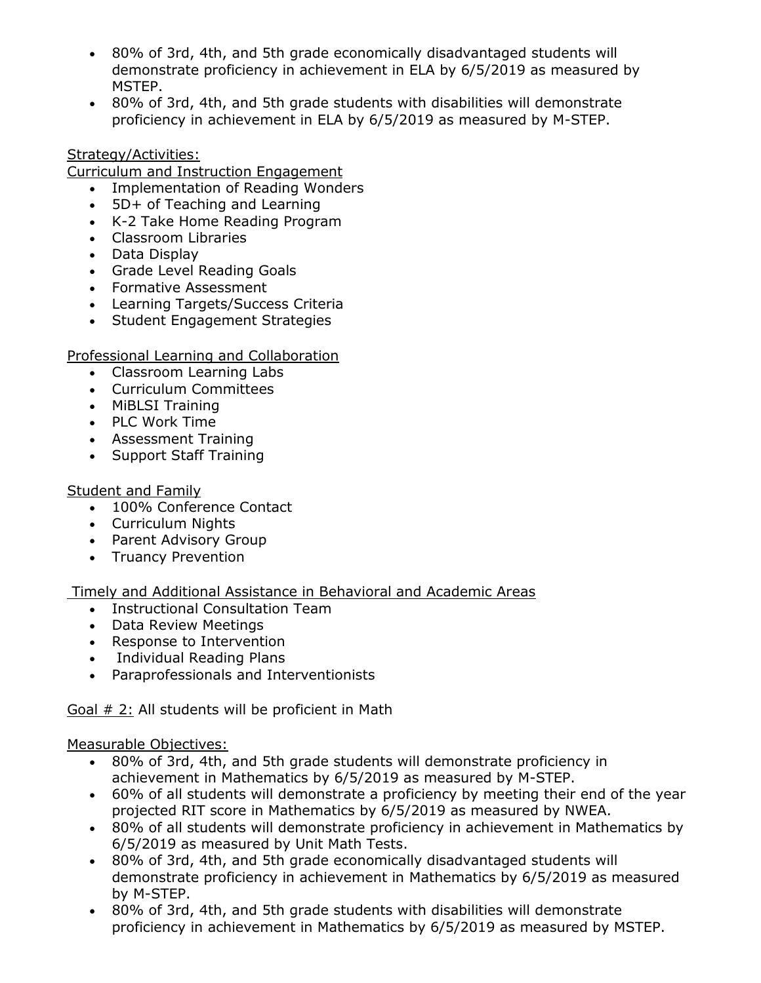- 80% of 3rd, 4th, and 5th grade economically disadvantaged students will demonstrate proficiency in achievement in ELA by 6/5/2019 as measured by MSTEP.
- 80% of 3rd, 4th, and 5th grade students with disabilities will demonstrate proficiency in achievement in ELA by 6/5/2019 as measured by M-STEP.

# Strategy/Activities:

Curriculum and Instruction Engagement

- Implementation of Reading Wonders
- 5D+ of Teaching and Learning
- K-2 Take Home Reading Program
- Classroom Libraries
- Data Display
- Grade Level Reading Goals
- Formative Assessment
- Learning Targets/Success Criteria
- Student Engagement Strategies

Professional Learning and Collaboration

- Classroom Learning Labs
- Curriculum Committees
- MiBLSI Training
- PLC Work Time
- Assessment Training
- Support Staff Training

#### Student and Family

- 100% Conference Contact
- Curriculum Nights
- Parent Advisory Group
- Truancy Prevention

Timely and Additional Assistance in Behavioral and Academic Areas

- Instructional Consultation Team
- Data Review Meetings
- Response to Intervention
- Individual Reading Plans
- Paraprofessionals and Interventionists

Goal # 2: All students will be proficient in Math

Measurable Objectives:

- 80% of 3rd, 4th, and 5th grade students will demonstrate proficiency in achievement in Mathematics by 6/5/2019 as measured by M-STEP.
- 60% of all students will demonstrate a proficiency by meeting their end of the year projected RIT score in Mathematics by 6/5/2019 as measured by NWEA.
- 80% of all students will demonstrate proficiency in achievement in Mathematics by 6/5/2019 as measured by Unit Math Tests.
- 80% of 3rd, 4th, and 5th grade economically disadvantaged students will demonstrate proficiency in achievement in Mathematics by 6/5/2019 as measured by M-STEP.
- 80% of 3rd, 4th, and 5th grade students with disabilities will demonstrate proficiency in achievement in Mathematics by 6/5/2019 as measured by MSTEP.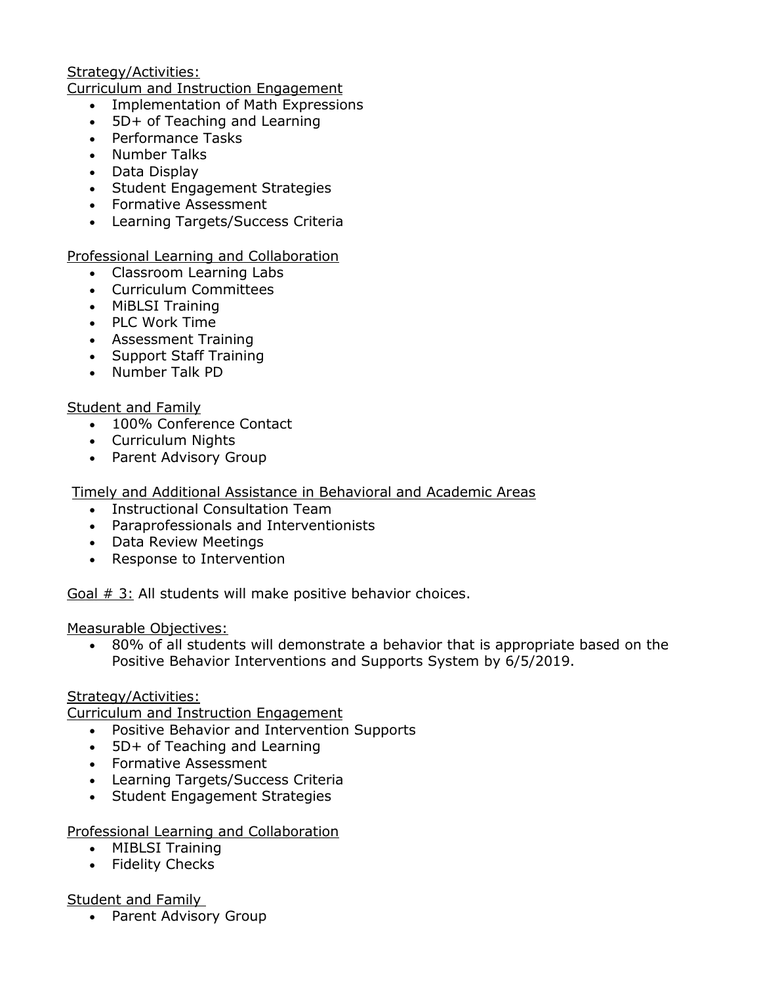## Strategy/Activities:

Curriculum and Instruction Engagement

- Implementation of Math Expressions
- 5D+ of Teaching and Learning
- Performance Tasks
- Number Talks
- Data Display
- Student Engagement Strategies
- Formative Assessment
- Learning Targets/Success Criteria

### Professional Learning and Collaboration

- Classroom Learning Labs
- Curriculum Committees
- MiBLSI Training
- PLC Work Time
- Assessment Training
- Support Staff Training
- Number Talk PD

### Student and Family

- 100% Conference Contact
- Curriculum Nights
- Parent Advisory Group

# Timely and Additional Assistance in Behavioral and Academic Areas

- Instructional Consultation Team
- Paraprofessionals and Interventionists
- Data Review Meetings
- Response to Intervention

Goal  $# 3$ : All students will make positive behavior choices.

Measurable Objectives:

 80% of all students will demonstrate a behavior that is appropriate based on the Positive Behavior Interventions and Supports System by 6/5/2019.

# Strategy/Activities:

Curriculum and Instruction Engagement

- Positive Behavior and Intervention Supports
- 5D+ of Teaching and Learning
- Formative Assessment
- Learning Targets/Success Criteria
- Student Engagement Strategies

Professional Learning and Collaboration

- MIBLSI Training
- Fidelity Checks

# Student and Family

• Parent Advisory Group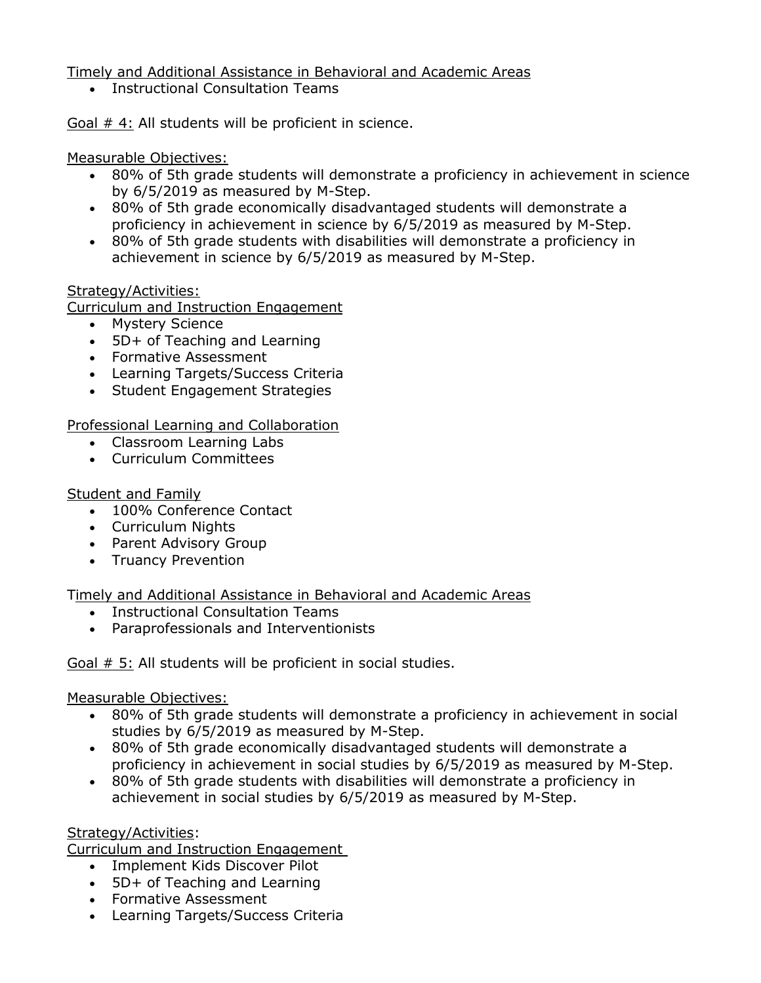Timely and Additional Assistance in Behavioral and Academic Areas

Instructional Consultation Teams

Goal # 4: All students will be proficient in science.

### Measurable Objectives:

- 80% of 5th grade students will demonstrate a proficiency in achievement in science by 6/5/2019 as measured by M-Step.
- 80% of 5th grade economically disadvantaged students will demonstrate a proficiency in achievement in science by 6/5/2019 as measured by M-Step.
- 80% of 5th grade students with disabilities will demonstrate a proficiency in achievement in science by 6/5/2019 as measured by M-Step.

### Strategy/Activities:

Curriculum and Instruction Engagement

- Mystery Science
- 5D+ of Teaching and Learning
- Formative Assessment
- Learning Targets/Success Criteria
- Student Engagement Strategies

Professional Learning and Collaboration

- Classroom Learning Labs
- Curriculum Committees

# Student and Family

- 100% Conference Contact
- Curriculum Nights
- Parent Advisory Group
- Truancy Prevention

Timely and Additional Assistance in Behavioral and Academic Areas

- Instructional Consultation Teams
- Paraprofessionals and Interventionists

Goal # 5: All students will be proficient in social studies.

#### Measurable Objectives:

- 80% of 5th grade students will demonstrate a proficiency in achievement in social studies by 6/5/2019 as measured by M-Step.
- 80% of 5th grade economically disadvantaged students will demonstrate a proficiency in achievement in social studies by 6/5/2019 as measured by M-Step.
- 80% of 5th grade students with disabilities will demonstrate a proficiency in achievement in social studies by 6/5/2019 as measured by M-Step.

#### Strategy/Activities:

Curriculum and Instruction Engagement

- Implement Kids Discover Pilot
- 5D+ of Teaching and Learning
- Formative Assessment
- Learning Targets/Success Criteria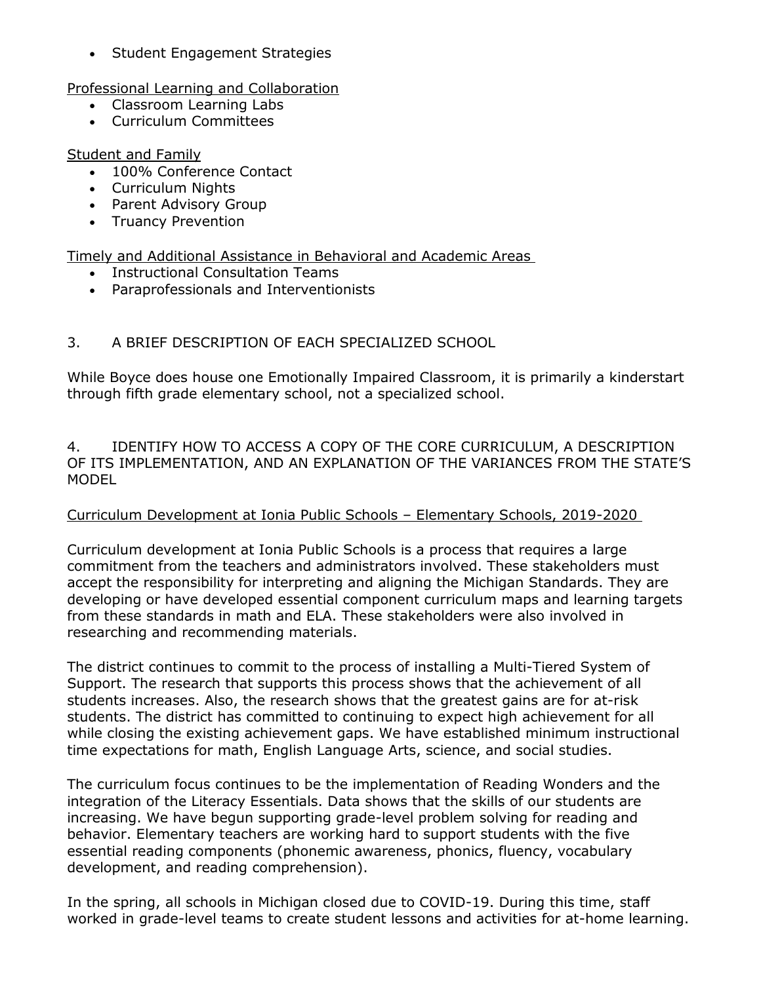• Student Engagement Strategies

Professional Learning and Collaboration

- Classroom Learning Labs
- Curriculum Committees

# Student and Family

- 100% Conference Contact
- Curriculum Nights
- Parent Advisory Group
- Truancy Prevention

Timely and Additional Assistance in Behavioral and Academic Areas

- Instructional Consultation Teams
- Paraprofessionals and Interventionists

# 3. A BRIEF DESCRIPTION OF EACH SPECIALIZED SCHOOL

While Boyce does house one Emotionally Impaired Classroom, it is primarily a kinderstart through fifth grade elementary school, not a specialized school.

4. IDENTIFY HOW TO ACCESS A COPY OF THE CORE CURRICULUM, A DESCRIPTION OF ITS IMPLEMENTATION, AND AN EXPLANATION OF THE VARIANCES FROM THE STATE'S MODEL

# Curriculum Development at Ionia Public Schools – Elementary Schools, 2019-2020

Curriculum development at Ionia Public Schools is a process that requires a large commitment from the teachers and administrators involved. These stakeholders must accept the responsibility for interpreting and aligning the Michigan Standards. They are developing or have developed essential component curriculum maps and learning targets from these standards in math and ELA. These stakeholders were also involved in researching and recommending materials.

The district continues to commit to the process of installing a Multi-Tiered System of Support. The research that supports this process shows that the achievement of all students increases. Also, the research shows that the greatest gains are for at-risk students. The district has committed to continuing to expect high achievement for all while closing the existing achievement gaps. We have established minimum instructional time expectations for math, English Language Arts, science, and social studies.

The curriculum focus continues to be the implementation of Reading Wonders and the integration of the Literacy Essentials. Data shows that the skills of our students are increasing. We have begun supporting grade-level problem solving for reading and behavior. Elementary teachers are working hard to support students with the five essential reading components (phonemic awareness, phonics, fluency, vocabulary development, and reading comprehension).

In the spring, all schools in Michigan closed due to COVID-19. During this time, staff worked in grade-level teams to create student lessons and activities for at-home learning.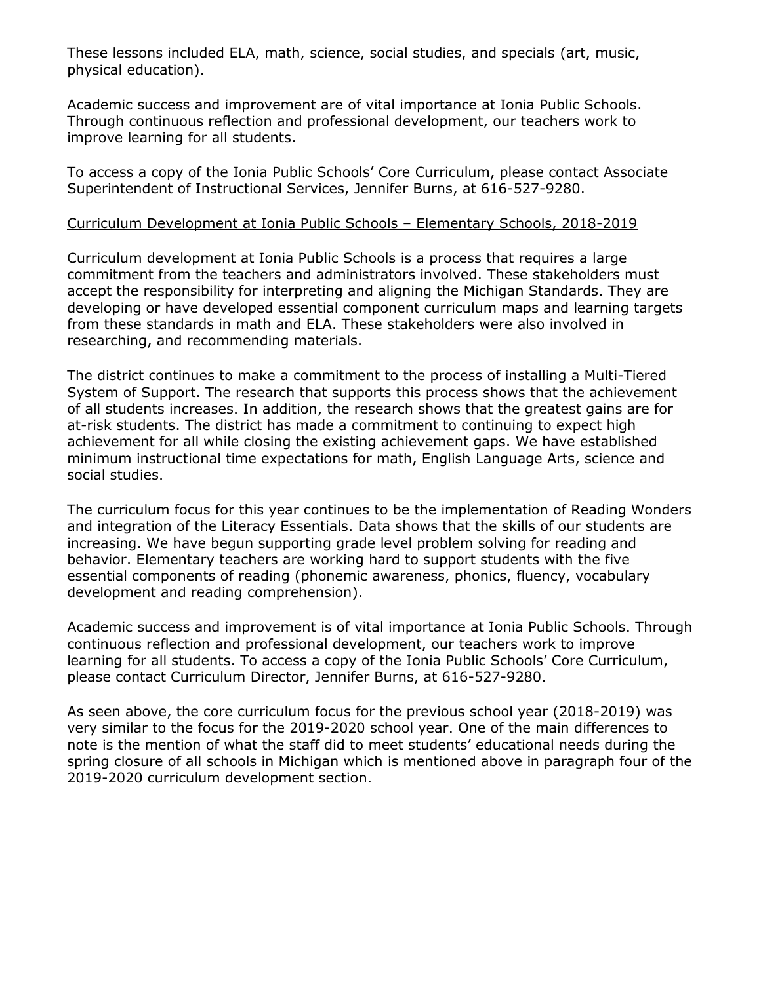These lessons included ELA, math, science, social studies, and specials (art, music, physical education).

Academic success and improvement are of vital importance at Ionia Public Schools. Through continuous reflection and professional development, our teachers work to improve learning for all students.

To access a copy of the Ionia Public Schools' Core Curriculum, please contact Associate Superintendent of Instructional Services, Jennifer Burns, at 616-527-9280.

#### Curriculum Development at Ionia Public Schools – Elementary Schools, 2018-2019

Curriculum development at Ionia Public Schools is a process that requires a large commitment from the teachers and administrators involved. These stakeholders must accept the responsibility for interpreting and aligning the Michigan Standards. They are developing or have developed essential component curriculum maps and learning targets from these standards in math and ELA. These stakeholders were also involved in researching, and recommending materials.

The district continues to make a commitment to the process of installing a Multi-Tiered System of Support. The research that supports this process shows that the achievement of all students increases. In addition, the research shows that the greatest gains are for at-risk students. The district has made a commitment to continuing to expect high achievement for all while closing the existing achievement gaps. We have established minimum instructional time expectations for math, English Language Arts, science and social studies.

The curriculum focus for this year continues to be the implementation of Reading Wonders and integration of the Literacy Essentials. Data shows that the skills of our students are increasing. We have begun supporting grade level problem solving for reading and behavior. Elementary teachers are working hard to support students with the five essential components of reading (phonemic awareness, phonics, fluency, vocabulary development and reading comprehension).

Academic success and improvement is of vital importance at Ionia Public Schools. Through continuous reflection and professional development, our teachers work to improve learning for all students. To access a copy of the Ionia Public Schools' Core Curriculum, please contact Curriculum Director, Jennifer Burns, at 616-527-9280.

As seen above, the core curriculum focus for the previous school year (2018-2019) was very similar to the focus for the 2019-2020 school year. One of the main differences to note is the mention of what the staff did to meet students' educational needs during the spring closure of all schools in Michigan which is mentioned above in paragraph four of the 2019-2020 curriculum development section.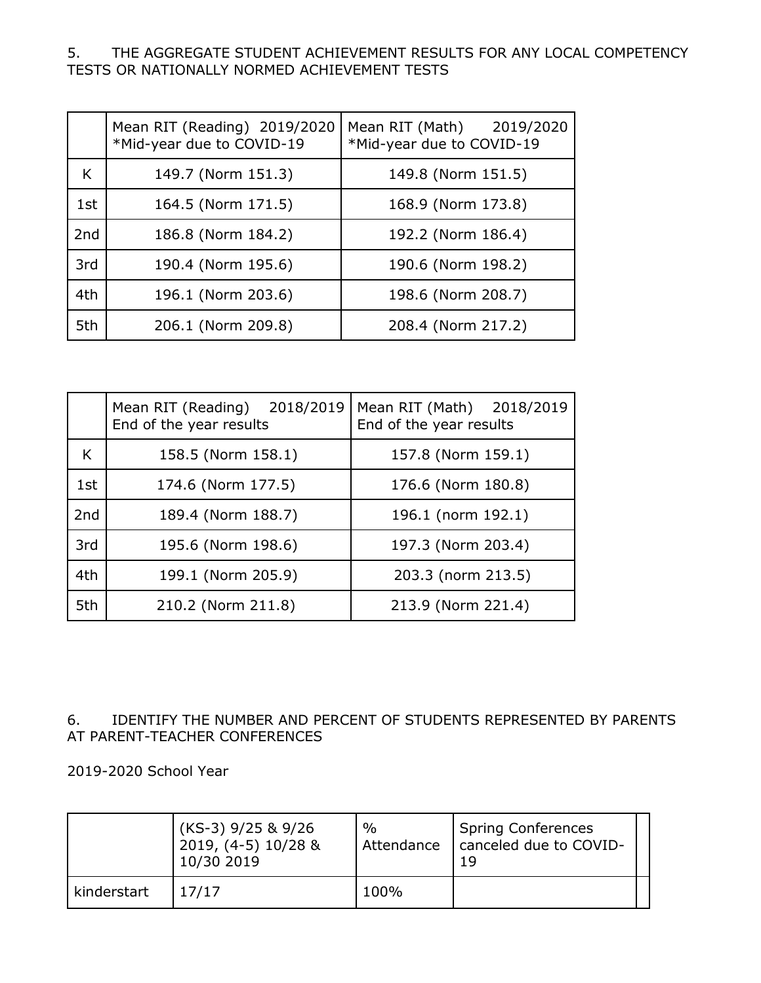### 5. THE AGGREGATE STUDENT ACHIEVEMENT RESULTS FOR ANY LOCAL COMPETENCY TESTS OR NATIONALLY NORMED ACHIEVEMENT TESTS

|                 | Mean RIT (Reading) 2019/2020<br>*Mid-year due to COVID-19 | Mean RIT (Math)<br>2019/2020<br>*Mid-year due to COVID-19 |
|-----------------|-----------------------------------------------------------|-----------------------------------------------------------|
| K               | 149.7 (Norm 151.3)                                        | 149.8 (Norm 151.5)                                        |
| 1st             | 164.5 (Norm 171.5)                                        | 168.9 (Norm 173.8)                                        |
| 2 <sub>nd</sub> | 186.8 (Norm 184.2)                                        | 192.2 (Norm 186.4)                                        |
| 3rd             | 190.4 (Norm 195.6)                                        | 190.6 (Norm 198.2)                                        |
| 4th             | 196.1 (Norm 203.6)                                        | 198.6 (Norm 208.7)                                        |
| 5th             | 206.1 (Norm 209.8)                                        | 208.4 (Norm 217.2)                                        |

|                 | Mean RIT (Reading) 2018/2019<br>End of the year results | Mean RIT (Math) 2018/2019<br>End of the year results |  |
|-----------------|---------------------------------------------------------|------------------------------------------------------|--|
| K               | 158.5 (Norm 158.1)                                      | 157.8 (Norm 159.1)                                   |  |
| 1st             | 174.6 (Norm 177.5)                                      | 176.6 (Norm 180.8)                                   |  |
| 2 <sub>nd</sub> | 189.4 (Norm 188.7)                                      | 196.1 (norm 192.1)                                   |  |
| 3rd             | 195.6 (Norm 198.6)                                      | 197.3 (Norm 203.4)                                   |  |
| 4th             | 199.1 (Norm 205.9)                                      | 203.3 (norm 213.5)                                   |  |
| 5th             | 210.2 (Norm 211.8)                                      | 213.9 (Norm 221.4)                                   |  |

# 6. IDENTIFY THE NUMBER AND PERCENT OF STUDENTS REPRESENTED BY PARENTS AT PARENT-TEACHER CONFERENCES

2019-2020 School Year

|             | $(KS-3)$ 9/25 & 9/26<br>2019, (4-5) 10/28 &<br>10/30 2019 | $\%$<br>Attendance | <b>Spring Conferences</b><br>canceled due to COVID-<br>19 |
|-------------|-----------------------------------------------------------|--------------------|-----------------------------------------------------------|
| kinderstart | 17/17                                                     | 100%               |                                                           |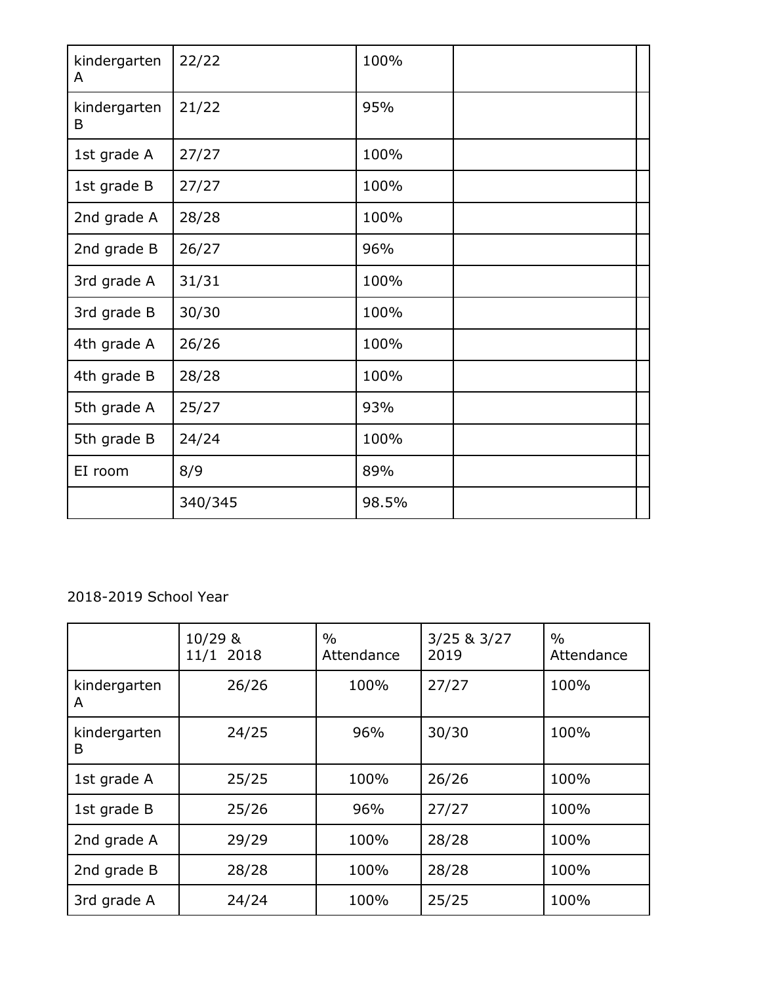| kindergarten<br>A | 22/22   | 100%  |  |
|-------------------|---------|-------|--|
| kindergarten<br>B | 21/22   | 95%   |  |
| 1st grade A       | 27/27   | 100%  |  |
| 1st grade B       | 27/27   | 100%  |  |
| 2nd grade A       | 28/28   | 100%  |  |
| 2nd grade B       | 26/27   | 96%   |  |
| 3rd grade A       | 31/31   | 100%  |  |
| 3rd grade B       | 30/30   | 100%  |  |
| 4th grade A       | 26/26   | 100%  |  |
| 4th grade B       | 28/28   | 100%  |  |
| 5th grade A       | 25/27   | 93%   |  |
| 5th grade B       | 24/24   | 100%  |  |
| EI room           | 8/9     | 89%   |  |
|                   | 340/345 | 98.5% |  |

# 2018-2019 School Year

|                   | 10/29 &<br>11/1 2018 | $\%$<br>Attendance | $3/25$ & $3/27$<br>2019 | $\frac{0}{0}$<br>Attendance |
|-------------------|----------------------|--------------------|-------------------------|-----------------------------|
| kindergarten<br>A | 26/26                | 100%               | 27/27                   | 100%                        |
| kindergarten<br>B | 24/25                | 96%                | 30/30                   | 100%                        |
| 1st grade A       | 25/25                | 100%               | 26/26                   | 100%                        |
| 1st grade B       | 25/26                | 96%                | 27/27                   | 100%                        |
| 2nd grade A       | 29/29                | 100%               | 28/28                   | 100%                        |
| 2nd grade B       | 28/28                | 100%               | 28/28                   | 100%                        |
| 3rd grade A       | 24/24                | 100%               | 25/25                   | 100%                        |